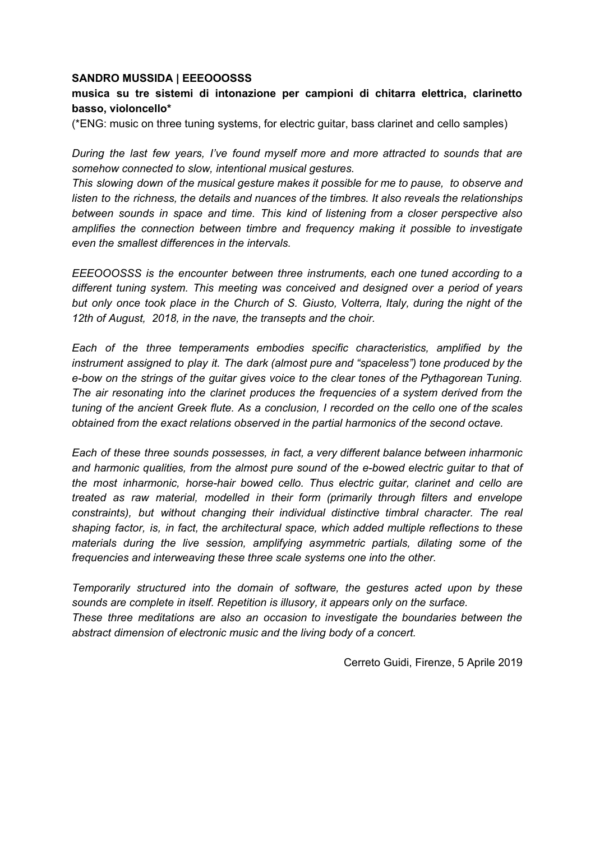## **SANDRO MUSSIDA | EEEOOOSSS**

## **musica su tre sistemi di intonazione per campioni di chitarra elettrica, clarinetto basso, violoncello\***

(\*ENG: music on three tuning systems, for electric guitar, bass clarinet and cello samples)

*During the last few years, I've found myself more and more attracted to sounds that are somehow connected to slow, intentional musical gestures.*

*This slowing down of the musical gesture makes it possible for me to pause, to observe and listen to the richness, the details and nuances of the timbres. It also reveals the relationships between sounds in space and time. This kind of listening from a closer perspective also amplifies the connection between timbre and frequency making it possible to investigate even the smallest differences in the intervals.*

*EEEOOOSSS is the encounter between three instruments, each one tuned according to a different tuning system. This meeting was conceived and designed over a period of years but only once took place in the Church of S. Giusto, Volterra, Italy, during the night of the 12th of August, 2018, in the nave, the transepts and the choir.*

*Each of the three temperaments embodies specific characteristics, amplified by the instrument assigned to play it. The dark (almost pure and "spaceless") tone produced by the e-bow on the strings of the guitar gives voice to the clear tones of the Pythagorean Tuning. The air resonating into the clarinet produces the frequencies of a system derived from the tuning of the ancient Greek flute. As a conclusion, I recorded on the cello one of the scales obtained from the exact relations observed in the partial harmonics of the second octave.*

*Each of these three sounds possesses, in fact, a very different balance between inharmonic and harmonic qualities, from the almost pure sound of the e-bowed electric guitar to that of the most inharmonic, horse-hair bowed cello. Thus electric guitar, clarinet and cello are treated as raw material, modelled in their form (primarily through filters and envelope constraints), but without changing their individual distinctive timbral character. The real shaping factor, is, in fact, the architectural space, which added multiple reflections to these materials during the live session, amplifying asymmetric partials, dilating some of the frequencies and interweaving these three scale systems one into the other.*

*Temporarily structured into the domain of software, the gestures acted upon by these sounds are complete in itself. Repetition is illusory, it appears only on the surface. These three meditations are also an occasion to investigate the boundaries between the abstract dimension of electronic music and the living body of a concert.*

Cerreto Guidi, Firenze, 5 Aprile 2019